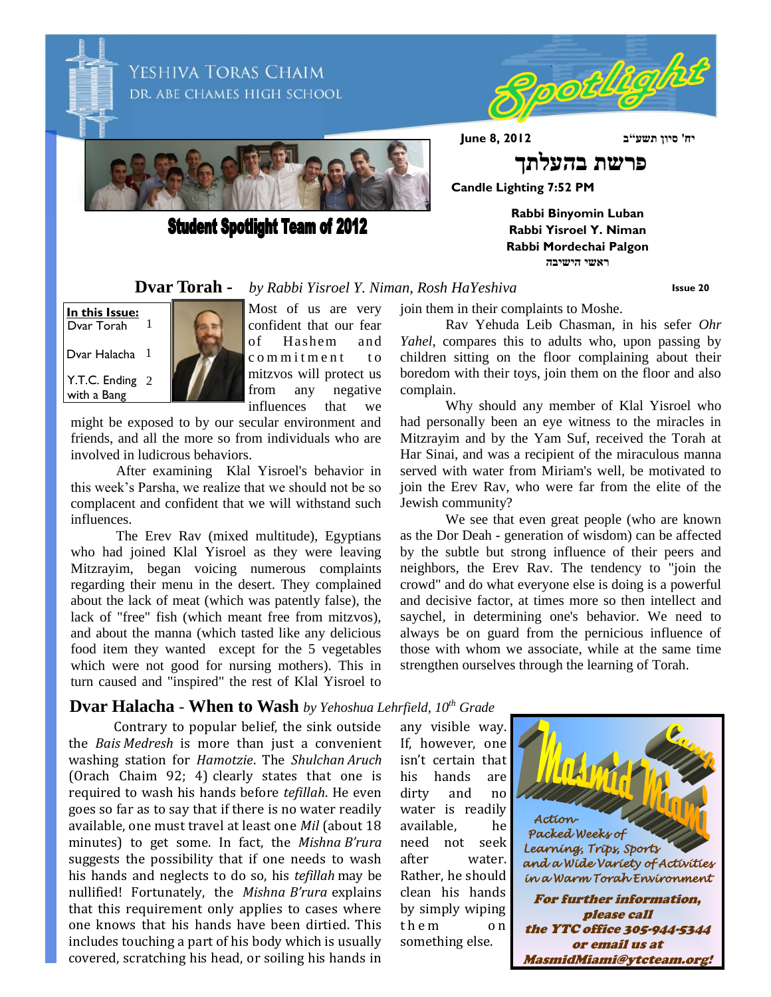

**Student Spotlight Team of 2012** 

Rpotligi

**Rabbi Binyomin Luban Rabbi Yisroel Y. Niman Rabbi Mordechai Palgon ראשי הישיבה**

**Dvar Torah -** *by Rabbi Yisroel Y. Niman, Rosh HaYeshiva*

**Issue 20**

**In this Issue:** Dvar Torah 1

Dvar Halacha  $1$ 

Y.T.C. Ending 2 with a Bang



Most of us are very confident that our fear of Hashem and c o m m i t m e n t t o mitzvos will protect us from any negative influences that we

might be exposed to by our secular environment and friends, and all the more so from individuals who are involved in ludicrous behaviors.

After examining Klal Yisroel's behavior in this week's Parsha, we realize that we should not be so complacent and confident that we will withstand such influences.

The Erev Rav (mixed multitude), Egyptians who had joined Klal Yisroel as they were leaving Mitzrayim, began voicing numerous complaints regarding their menu in the desert. They complained about the lack of meat (which was patently false), the lack of "free" fish (which meant free from mitzvos), and about the manna (which tasted like any delicious food item they wanted except for the 5 vegetables which were not good for nursing mothers). This in turn caused and "inspired" the rest of Klal Yisroel to

### **Dvar Halacha** - **When to Wash** *by Yehoshua Lehrfield, 10th Grade*

Contrary to popular belief, the sink outside the *Bais Medresh* is more than just a convenient washing station for *Hamotzie*. The *Shulchan Aruch*  (Orach Chaim 92; 4) clearly states that one is required to wash his hands before *tefillah*. He even goes so far as to say that if there is no water readily available, one must travel at least one *Mil* (about 18 minutes) to get some. In fact, the *Mishna B'rura* suggests the possibility that if one needs to wash his hands and neglects to do so, his *tefillah* may be nullified! Fortunately, the *Mishna B'rura* explains that this requirement only applies to cases where one knows that his hands have been dirtied. This includes touching a part of his body which is usually covered, scratching his head, or soiling his hands in

join them in their complaints to Moshe.

Rav Yehuda Leib Chasman, in his sefer *Ohr Yahel*, compares this to adults who, upon passing by children sitting on the floor complaining about their boredom with their toys, join them on the floor and also complain.

Why should any member of Klal Yisroel who had personally been an eye witness to the miracles in Mitzrayim and by the Yam Suf, received the Torah at Har Sinai, and was a recipient of the miraculous manna served with water from Miriam's well, be motivated to join the Erev Rav, who were far from the elite of the Jewish community?

We see that even great people (who are known as the Dor Deah - generation of wisdom) can be affected by the subtle but strong influence of their peers and neighbors, the Erev Rav. The tendency to "join the crowd" and do what everyone else is doing is a powerful and decisive factor, at times more so then intellect and saychel, in determining one's behavior. We need to always be on guard from the pernicious influence of those with whom we associate, while at the same time strengthen ourselves through the learning of Torah.

any visible way. If, however, one isn't certain that his hands are dirty and no water is readily available, he need not seek after water. Rather, he should clean his hands by simply wiping them on something else.